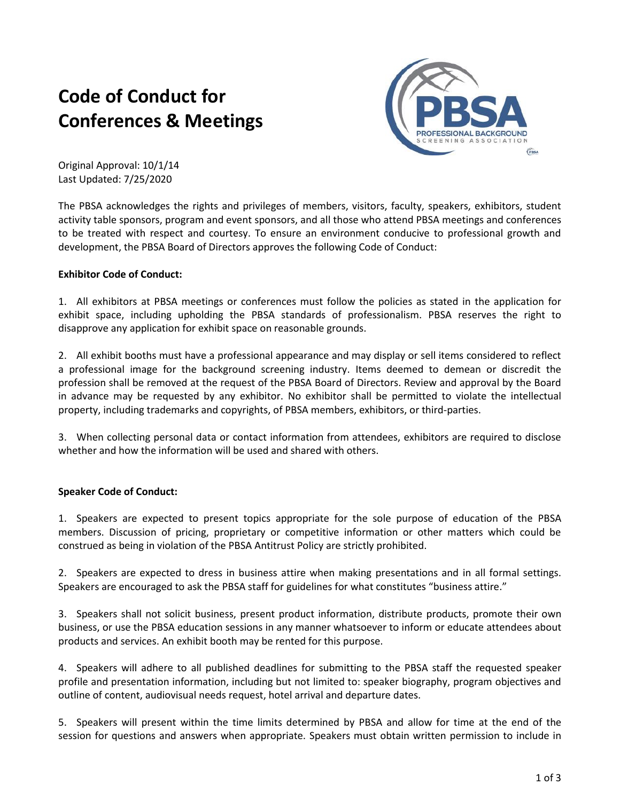# **Code of Conduct for Conferences & Meetings**



Original Approval: 10/1/14 Last Updated: 7/25/2020

The PBSA acknowledges the rights and privileges of members, visitors, faculty, speakers, exhibitors, student activity table sponsors, program and event sponsors, and all those who attend PBSA meetings and conferences to be treated with respect and courtesy. To ensure an environment conducive to professional growth and development, the PBSA Board of Directors approves the following Code of Conduct:

## **Exhibitor Code of Conduct:**

1. All exhibitors at PBSA meetings or conferences must follow the policies as stated in the application for exhibit space, including upholding the PBSA standards of professionalism. PBSA reserves the right to disapprove any application for exhibit space on reasonable grounds.

2. All exhibit booths must have a professional appearance and may display or sell items considered to reflect a professional image for the background screening industry. Items deemed to demean or discredit the profession shall be removed at the request of the PBSA Board of Directors. Review and approval by the Board in advance may be requested by any exhibitor. No exhibitor shall be permitted to violate the intellectual property, including trademarks and copyrights, of PBSA members, exhibitors, or third-parties.

3. When collecting personal data or contact information from attendees, exhibitors are required to disclose whether and how the information will be used and shared with others.

#### **Speaker Code of Conduct:**

1. Speakers are expected to present topics appropriate for the sole purpose of education of the PBSA members. Discussion of pricing, proprietary or competitive information or other matters which could be construed as being in violation of the PBSA Antitrust Policy are strictly prohibited.

2. Speakers are expected to dress in business attire when making presentations and in all formal settings. Speakers are encouraged to ask the PBSA staff for guidelines for what constitutes "business attire."

3. Speakers shall not solicit business, present product information, distribute products, promote their own business, or use the PBSA education sessions in any manner whatsoever to inform or educate attendees about products and services. An exhibit booth may be rented for this purpose.

4. Speakers will adhere to all published deadlines for submitting to the PBSA staff the requested speaker profile and presentation information, including but not limited to: speaker biography, program objectives and outline of content, audiovisual needs request, hotel arrival and departure dates.

5. Speakers will present within the time limits determined by PBSA and allow for time at the end of the session for questions and answers when appropriate. Speakers must obtain written permission to include in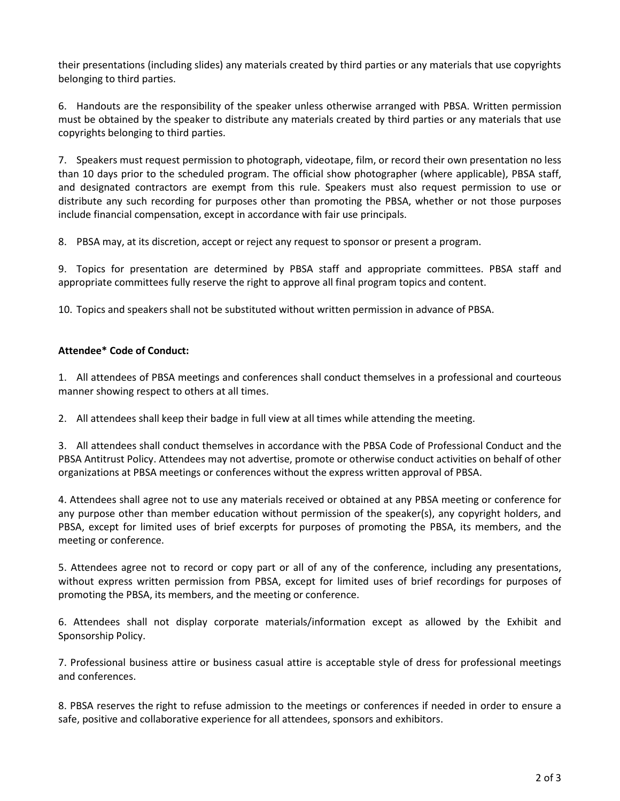their presentations (including slides) any materials created by third parties or any materials that use copyrights belonging to third parties.

6. Handouts are the responsibility of the speaker unless otherwise arranged with PBSA. Written permission must be obtained by the speaker to distribute any materials created by third parties or any materials that use copyrights belonging to third parties.

7. Speakers must request permission to photograph, videotape, film, or record their own presentation no less than 10 days prior to the scheduled program. The official show photographer (where applicable), PBSA staff, and designated contractors are exempt from this rule. Speakers must also request permission to use or distribute any such recording for purposes other than promoting the PBSA, whether or not those purposes include financial compensation, except in accordance with fair use principals.

8. PBSA may, at its discretion, accept or reject any request to sponsor or present a program.

9. Topics for presentation are determined by PBSA staff and appropriate committees. PBSA staff and appropriate committees fully reserve the right to approve all final program topics and content.

10. Topics and speakers shall not be substituted without written permission in advance of PBSA.

## **Attendee\* Code of Conduct:**

1. All attendees of PBSA meetings and conferences shall conduct themselves in a professional and courteous manner showing respect to others at all times.

2. All attendees shall keep their badge in full view at all times while attending the meeting.

3. All attendees shall conduct themselves in accordance with the PBSA Code of Professional Conduct and the PBSA Antitrust Policy. Attendees may not advertise, promote or otherwise conduct activities on behalf of other organizations at PBSA meetings or conferences without the express written approval of PBSA.

4. Attendees shall agree not to use any materials received or obtained at any PBSA meeting or conference for any purpose other than member education without permission of the speaker(s), any copyright holders, and PBSA, except for limited uses of brief excerpts for purposes of promoting the PBSA, its members, and the meeting or conference.

5. Attendees agree not to record or copy part or all of any of the conference, including any presentations, without express written permission from PBSA, except for limited uses of brief recordings for purposes of promoting the PBSA, its members, and the meeting or conference.

6. Attendees shall not display corporate materials/information except as allowed by the Exhibit and Sponsorship Policy.

7. Professional business attire or business casual attire is acceptable style of dress for professional meetings and conferences.

8. PBSA reserves the right to refuse admission to the meetings or conferences if needed in order to ensure a safe, positive and collaborative experience for all attendees, sponsors and exhibitors.